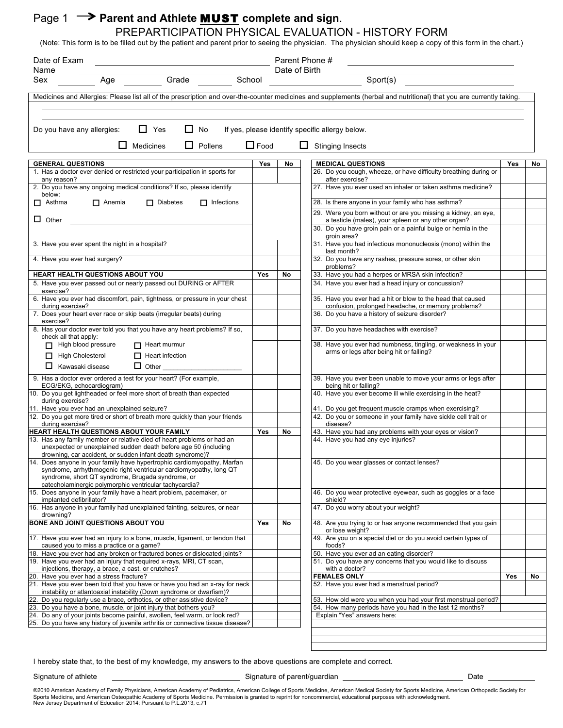# Page 1  $\rightarrow$  Parent and Athlete **MUST** complete and sign.

#### PREPARTICIPATION PHYSICAL EVALUATION - HISTORY FORM (Note: This form is to be filled out by the patient and parent prior to seeing the physician. The physician should keep a copy of this form in the chart.)

| Date of Exam                                                                                                                                                                                                                                                 |             |               | Parent Phone #                                                                                                        |     |    |
|--------------------------------------------------------------------------------------------------------------------------------------------------------------------------------------------------------------------------------------------------------------|-------------|---------------|-----------------------------------------------------------------------------------------------------------------------|-----|----|
| Name                                                                                                                                                                                                                                                         |             | Date of Birth |                                                                                                                       |     |    |
| Grade School<br>Sex<br>Age                                                                                                                                                                                                                                   |             |               | Sport(s)                                                                                                              |     |    |
| Medicines and Allergies: Please list all of the prescription and over-the-counter medicines and supplements (herbal and nutritional) that you are currently taking.                                                                                          |             |               |                                                                                                                       |     |    |
| $\Box$ Yes<br>ப<br>No<br>Do you have any allergies:<br>Medicines<br>ப<br>Pollens                                                                                                                                                                             | $\Box$ Food |               | If yes, please identify specific allergy below.<br><b>Stinging Insects</b>                                            |     |    |
|                                                                                                                                                                                                                                                              |             |               |                                                                                                                       |     |    |
| <b>GENERAL QUESTIONS</b><br>1. Has a doctor ever denied or restricted your participation in sports for                                                                                                                                                       | Yes         | No            | <b>MEDICAL QUESTIONS</b><br>26. Do you cough, wheeze, or have difficulty breathing during or                          | Yes | No |
| any reason?                                                                                                                                                                                                                                                  |             |               | after exercise?                                                                                                       |     |    |
| 2. Do you have any ongoing medical conditions? If so, please identify<br>below:                                                                                                                                                                              |             |               | 27. Have you ever used an inhaler or taken asthma medicine?                                                           |     |    |
| $\Box$ Anemia<br>$\Box$ Diabetes<br>$\Box$ Infections<br>$\Box$ Asthma                                                                                                                                                                                       |             |               | 28. Is there anyone in your family who has asthma?                                                                    |     |    |
| $\Box$ Other                                                                                                                                                                                                                                                 |             |               | 29. Were you born without or are you missing a kidney, an eye,<br>a testicle (males), your spleen or any other organ? |     |    |
|                                                                                                                                                                                                                                                              |             |               | 30. Do you have groin pain or a painful bulge or hernia in the<br>groin area?                                         |     |    |
| 3. Have you ever spent the night in a hospital?                                                                                                                                                                                                              |             |               | 31. Have you had infectious mononucleosis (mono) within the<br>last month?                                            |     |    |
| 4. Have you ever had surgery?                                                                                                                                                                                                                                |             |               | 32. Do you have any rashes, pressure sores, or other skin<br>problems?                                                |     |    |
| HEART HEALTH QUESTIONS ABOUT YOU                                                                                                                                                                                                                             | Yes         | No            | 33. Have you had a herpes or MRSA skin infection?                                                                     |     |    |
| 5. Have you ever passed out or nearly passed out DURING or AFTER<br>exercise?                                                                                                                                                                                |             |               | 34. Have you ever had a head injury or concussion?                                                                    |     |    |
| 6. Have you ever had discomfort, pain, tightness, or pressure in your chest<br>during exercise?                                                                                                                                                              |             |               | 35. Have you ever had a hit or blow to the head that caused<br>confusion, prolonged headache, or memory problems?     |     |    |
| 7. Does your heart ever race or skip beats (irregular beats) during<br>exercise?                                                                                                                                                                             |             |               | 36. Do you have a history of seizure disorder?                                                                        |     |    |
| 8. Has your doctor ever told you that you have any heart problems? If so,<br>check all that apply:                                                                                                                                                           |             |               | 37. Do you have headaches with exercise?                                                                              |     |    |
| High blood pressure<br>$\Box$ Heart murmur<br>$\Box$ High Cholesterol<br>$\Box$ Heart infection                                                                                                                                                              |             |               | 38. Have you ever had numbness, tingling, or weakness in your<br>arms or legs after being hit or falling?             |     |    |
| $\Box$ Kawasaki disease<br>$\Box$ Other                                                                                                                                                                                                                      |             |               |                                                                                                                       |     |    |
| 9. Has a doctor ever ordered a test for your heart? (For example,<br>ECG/EKG, echocardiogram)                                                                                                                                                                |             |               | 39. Have you ever been unable to move your arms or legs after<br>being hit or falling?                                |     |    |
| 10. Do you get lightheaded or feel more short of breath than expected<br>during exercise?                                                                                                                                                                    |             |               | 40. Have you ever become ill while exercising in the heat?                                                            |     |    |
| 11. Have you ever had an unexplained seizure?                                                                                                                                                                                                                |             |               | 41. Do you get frequent muscle cramps when exercising?                                                                |     |    |
| 12. Do you get more tired or short of breath more quickly than your friends                                                                                                                                                                                  |             |               | 42. Do you or someone in your family have sickle cell trait or                                                        |     |    |
| during exercise?<br>HEART HEALTH QUESTIONS ABOUT YOUR FAMILY                                                                                                                                                                                                 | <b>Yes</b>  | No            | disease?<br>43. Have you had any problems with your eyes or vision?                                                   |     |    |
| 13. Has any family member or relative died of heart problems or had an<br>unexpected or unexplained sudden death before age 50 (including<br>drowning, car accident, or sudden infant death syndrome)?                                                       |             |               | 44. Have you had any eye injuries?                                                                                    |     |    |
| 14. Does anyone in your family have hypertrophic cardiomyopathy, Marfan<br>syndrome, arrhythmogenic right ventricular cardiomyopathy, long QT<br>syndrome, short QT syndrome, Brugada syndrome, or<br>catecholaminergic polymorphic ventricular tachycardia? |             |               | 45. Do you wear glasses or contact lenses?                                                                            |     |    |
| 15. Does anyone in your family have a heart problem, pacemaker, or<br>implanted defibrillator?                                                                                                                                                               |             |               | 46. Do you wear protective eyewear, such as goggles or a face<br>shield?                                              |     |    |
| 16. Has anyone in your family had unexplained fainting, seizures, or near<br>drowning?                                                                                                                                                                       |             |               | 47. Do you worry about your weight?                                                                                   |     |    |
| BONE AND JOINT QUESTIONS ABOUT YOU                                                                                                                                                                                                                           | Yes         | No            | 48. Are you trying to or has anyone recommended that you gain<br>or lose weight?                                      |     |    |
| 17. Have you ever had an injury to a bone, muscle, ligament, or tendon that<br>caused you to miss a practice or a game?                                                                                                                                      |             |               | 49. Are you on a special diet or do you avoid certain types of<br>foods?                                              |     |    |
| 18. Have you ever had any broken or fractured bones or dislocated joints?                                                                                                                                                                                    |             |               | 50. Have you ever ad an eating disorder?                                                                              |     |    |
| 19. Have you ever had an injury that required x-rays, MRI, CT scan,<br>injections, therapy, a brace, a cast, or crutches?                                                                                                                                    |             |               | 51. Do you have any concerns that you would like to discuss<br>with a doctor?                                         |     |    |
| 20. Have you ever had a stress fracture?                                                                                                                                                                                                                     |             |               | <b>FEMALES ONLY</b>                                                                                                   | Yes | No |
| 21. Have you ever been told that you have or have you had an x-ray for neck<br>instability or atlantoaxial instability (Down syndrome or dwarfism)?                                                                                                          |             |               | 52. Have you ever had a menstrual period?                                                                             |     |    |
| 22.<br>Do you regularly use a brace, orthotics, or other assistive device?                                                                                                                                                                                   |             |               | 53. How old were you when you had your first menstrual period?                                                        |     |    |
| 23. Do you have a bone, muscle, or joint injury that bothers you?                                                                                                                                                                                            |             |               | 54. How many periods have you had in the last 12 months?                                                              |     |    |
| 24. Do any of your joints become painful, swollen, feel warm, or look red?<br>25. Do you have any history of juvenile arthritis or connective tissue disease?                                                                                                |             |               | Explain "Yes" answers here:                                                                                           |     |    |
|                                                                                                                                                                                                                                                              |             |               |                                                                                                                       |     |    |
|                                                                                                                                                                                                                                                              |             |               |                                                                                                                       |     |    |

I hereby state that, to the best of my knowledge, my answers to the above questions are complete and correct.

Signature of athlete Contract Contract Contract Contract Contract Contract Contract Contract Contract Contract Contract Contract Contract Contract Contract Contract Contract Contract Contract Contract Contract Contract Con

®2010 American Academy of Family Physicians, American Academy of Pediatrics, American College of Sports Medicine, American Medical Society for Sports Medicine, American Orthopedic Society for Sports Medicine, and American Osteopathic Academy of Sports Medicine. Permission is granted to reprint for noncommercial, educational purposes with acknowledgment.<br>New Jersey Department of Education 2014; Pursuant to P.L.2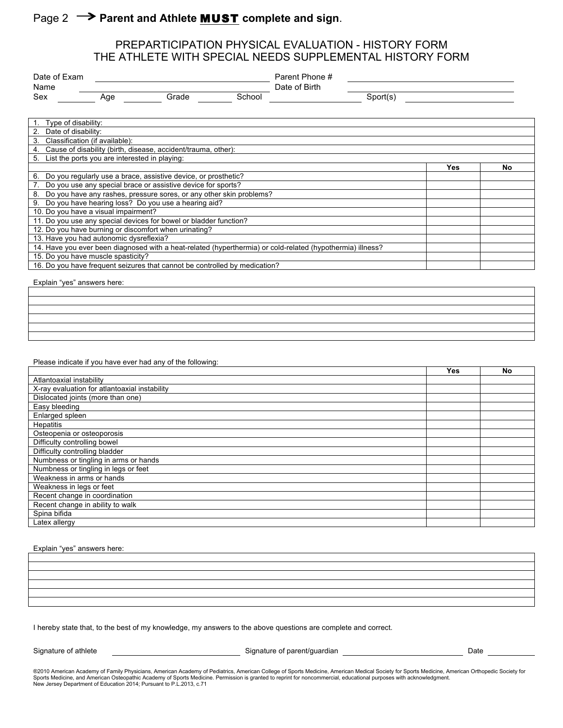# Page 2  $\rightarrow$  Parent and Athlete **MUST** complete and sign.

#### PREPARTICIPATION PHYSICAL EVALUATION - HISTORY FORM THE ATHLETE WITH SPECIAL NEEDS SUPPLEMENTAL HISTORY FORM

| Date of Exam |     |       | Parent Phone # |               |          |  |
|--------------|-----|-------|----------------|---------------|----------|--|
| Name         |     |       |                | Date of Birth |          |  |
| Sex          | Age | Grade | School         |               | Sport(sː |  |

| Type of disability:                                                                                        |            |    |  |  |
|------------------------------------------------------------------------------------------------------------|------------|----|--|--|
| Date of disability:<br>2.                                                                                  |            |    |  |  |
| Classification (if available):<br>3.                                                                       |            |    |  |  |
| Cause of disability (birth, disease, accident/trauma, other):<br>4.                                        |            |    |  |  |
| List the ports you are interested in playing:<br>5.                                                        |            |    |  |  |
|                                                                                                            | <b>Yes</b> | No |  |  |
| Do you regularly use a brace, assistive device, or prosthetic?<br>6.                                       |            |    |  |  |
| Do you use any special brace or assistive device for sports?                                               |            |    |  |  |
| Do you have any rashes, pressure sores, or any other skin problems?<br>8.                                  |            |    |  |  |
| Do you have hearing loss? Do you use a hearing aid?<br>9.                                                  |            |    |  |  |
| 10. Do you have a visual impairment?                                                                       |            |    |  |  |
| 11. Do you use any special devices for bowel or bladder function?                                          |            |    |  |  |
| 12. Do you have burning or discomfort when urinating?                                                      |            |    |  |  |
| 13. Have you had autonomic dysreflexia?                                                                    |            |    |  |  |
| 14. Have you ever been diagnosed with a heat-related (hyperthermia) or cold-related (hypothermia) illness? |            |    |  |  |
| 15. Do you have muscle spasticity?                                                                         |            |    |  |  |
| 16. Do you have frequent seizures that cannot be controlled by medication?                                 |            |    |  |  |

Explain "yes" answers here:

Please indicate if you have ever had any of the following:

|                                               | Yes | No |
|-----------------------------------------------|-----|----|
| Atlantoaxial instability                      |     |    |
| X-ray evaluation for atlantoaxial instability |     |    |
| Dislocated joints (more than one)             |     |    |
| Easy bleeding                                 |     |    |
| Enlarged spleen                               |     |    |
| <b>Hepatitis</b>                              |     |    |
| Osteopenia or osteoporosis                    |     |    |
| Difficulty controlling bowel                  |     |    |
| Difficulty controlling bladder                |     |    |
| Numbness or tingling in arms or hands         |     |    |
| Numbness or tingling in legs or feet          |     |    |
| Weakness in arms or hands                     |     |    |
| Weakness in legs or feet                      |     |    |
| Recent change in coordination                 |     |    |
| Recent change in ability to walk              |     |    |
| Spina bifida                                  |     |    |
| Latex allergy                                 |     |    |

Explain "yes" answers here:

I hereby state that, to the best of my knowledge, my answers to the above questions are complete and correct.

Signature of athlete Contract Contract Contract Contract Contract Contract Contract Contract Contract Contract Contract Contract Contract Contract Contract Contract Contract Contract Contract Contract Contract Contract Con

®2010 American Academy of Family Physicians, American Academy of Pediatrics, American College of Sports Medicine, American Medical Society for Sports Medicine, American Orthopedic Society for<br>Sports Medicine, and American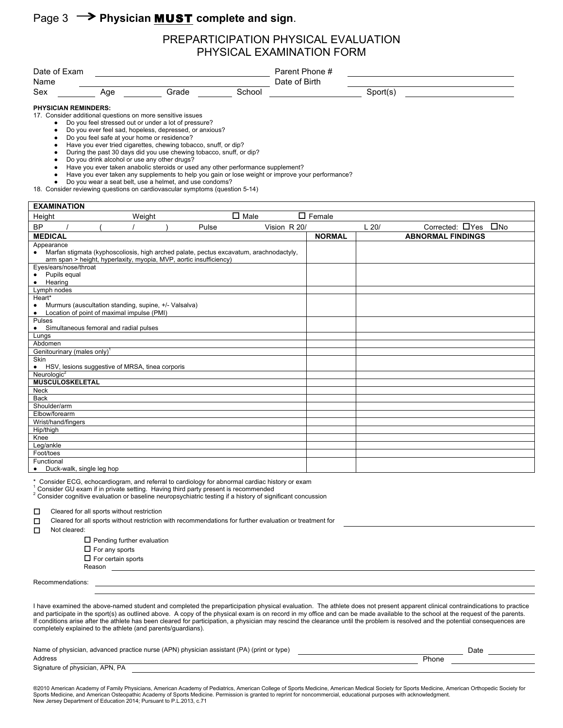# Page 3  $\rightarrow$  Physician **MUST** complete and sign.

#### PREPARTICIPATION PHYSICAL EVALUATION PHYSICAL EXAMINATION FORM

| Date of Exam<br>Name        |     |                                                                                                                    |        | Parent Phone #<br>Date of Birth |          |  |  |
|-----------------------------|-----|--------------------------------------------------------------------------------------------------------------------|--------|---------------------------------|----------|--|--|
| Sex                         | Aqe | Grade                                                                                                              | School |                                 | Sport(s) |  |  |
| <b>PHYSICIAN REMINDERS:</b> |     | 17. Consider additional questions on more sensitive issues<br>Do you feel stressed out or under a lot of pressure? |        |                                 |          |  |  |

● Do you ever feel sad, hopeless, depressed, or anxious?

- Do you feel safe at your home or residence?
- Have you ever tried cigarettes, chewing tobacco, snuff, or dip?
- During the past 30 days did you use chewing tobacco, snuff, or dip?
- Do you drink alcohol or use any other drugs?
- Have you ever taken anabolic steroids or used any other performance supplement?
- Have you ever taken any supplements to help you gain or lose weight or improve your performance?
- Do you wear a seat belt, use a helmet, and use condoms?
- 18. Consider reviewing questions on cardiovascular symptoms (question 5-14)

| <b>EXAMINATION</b>                                                                                                                                                        |  |        |  |       |                |              |                  |      |                                 |
|---------------------------------------------------------------------------------------------------------------------------------------------------------------------------|--|--------|--|-------|----------------|--------------|------------------|------|---------------------------------|
| Height                                                                                                                                                                    |  | Weight |  |       | $\square$ Male |              | $\square$ Female |      |                                 |
| <b>BP</b>                                                                                                                                                                 |  |        |  | Pulse |                | Vision R 20/ |                  | L20/ | Corrected: $\Box$ Yes $\Box$ No |
| <b>MEDICAL</b>                                                                                                                                                            |  |        |  |       |                |              | <b>NORMAL</b>    |      | <b>ABNORMAL FINDINGS</b>        |
| Appearance                                                                                                                                                                |  |        |  |       |                |              |                  |      |                                 |
| Marfan stigmata (kyphoscoliosis, high arched palate, pectus excavatum, arachnodactyly,<br>$\bullet$<br>arm span > height, hyperlaxity, myopia, MVP, aortic insufficiency) |  |        |  |       |                |              |                  |      |                                 |
|                                                                                                                                                                           |  |        |  |       |                |              |                  |      |                                 |
| Eyes/ears/nose/throat<br>Pupils equal                                                                                                                                     |  |        |  |       |                |              |                  |      |                                 |
| ٠<br>Hearing<br>$\bullet$                                                                                                                                                 |  |        |  |       |                |              |                  |      |                                 |
| Lymph nodes                                                                                                                                                               |  |        |  |       |                |              |                  |      |                                 |
| Heart*                                                                                                                                                                    |  |        |  |       |                |              |                  |      |                                 |
| Murmurs (auscultation standing, supine, +/- Valsalva)<br>٠                                                                                                                |  |        |  |       |                |              |                  |      |                                 |
| Location of point of maximal impulse (PMI)<br>$\bullet$                                                                                                                   |  |        |  |       |                |              |                  |      |                                 |
| Pulses                                                                                                                                                                    |  |        |  |       |                |              |                  |      |                                 |
| Simultaneous femoral and radial pulses<br>$\bullet$                                                                                                                       |  |        |  |       |                |              |                  |      |                                 |
| Lungs                                                                                                                                                                     |  |        |  |       |                |              |                  |      |                                 |
| Abdomen                                                                                                                                                                   |  |        |  |       |                |              |                  |      |                                 |
| Genitourinary (males only) <sup>1</sup>                                                                                                                                   |  |        |  |       |                |              |                  |      |                                 |
| Skin                                                                                                                                                                      |  |        |  |       |                |              |                  |      |                                 |
| • HSV, lesions suggestive of MRSA, tinea corporis                                                                                                                         |  |        |  |       |                |              |                  |      |                                 |
| Neurologic <sup>2</sup>                                                                                                                                                   |  |        |  |       |                |              |                  |      |                                 |
| <b>MUSCULOSKELETAL</b>                                                                                                                                                    |  |        |  |       |                |              |                  |      |                                 |
| <b>Neck</b>                                                                                                                                                               |  |        |  |       |                |              |                  |      |                                 |
| <b>Back</b>                                                                                                                                                               |  |        |  |       |                |              |                  |      |                                 |
| Shoulder/arm                                                                                                                                                              |  |        |  |       |                |              |                  |      |                                 |
| Elbow/forearm                                                                                                                                                             |  |        |  |       |                |              |                  |      |                                 |
| Wrist/hand/fingers                                                                                                                                                        |  |        |  |       |                |              |                  |      |                                 |
| Hip/thigh                                                                                                                                                                 |  |        |  |       |                |              |                  |      |                                 |
| Knee                                                                                                                                                                      |  |        |  |       |                |              |                  |      |                                 |
| Leg/ankle                                                                                                                                                                 |  |        |  |       |                |              |                  |      |                                 |
| Foot/toes                                                                                                                                                                 |  |        |  |       |                |              |                  |      |                                 |
| Functional                                                                                                                                                                |  |        |  |       |                |              |                  |      |                                 |
| Duck-walk, single leg hop<br>$\bullet$                                                                                                                                    |  |        |  |       |                |              |                  |      |                                 |

Konsider ECG, echocardiogram, and referral to cardiology for abnormal cardiac history or exam Consider GU exam if in private setting. Having third party present is recommended

<sup>2</sup> Consider cognitive evaluation or baseline neuropsychiatric testing if a history of significant concussion

 $\Box$  Cleared for all sports without restriction<br> $\Box$  Cleared for all sports without restriction

- Cleared for all sports without restriction with recommendations for further evaluation or treatment for
- Not cleared:
	- $\square$  Pending further evaluation
	- $\square$  For any sports
	- $\Box$  For certain sports
	- Reason

Recommendations:

I have examined the above-named student and completed the preparticipation physical evaluation. The athlete does not present apparent clinical contraindications to practice and participate in the sport(s) as outlined above. A copy of the physical exam is on record in my office and can be made available to the school at the request of the parents. If conditions arise after the athlete has been cleared for participation, a physician may rescind the clearance until the problem is resolved and the potential consequences are completely explained to the athlete (and parents/guardians).

| Name of physician, advanced practice nurse (APN) physician assistant (PA) (print or type) |       | Date |  |
|-------------------------------------------------------------------------------------------|-------|------|--|
| Address                                                                                   | Phone |      |  |
| Signature of physician, APN, PA                                                           |       |      |  |

@2010 American Academy of Family Physicians, American Academy of Pediatrics, American College of Sports Medicine, American Academy of Sports Medicine, American Orthopedic Society for Sports Medicine, and American Osteopathic Academy of Sports Medicine. Permission is granted to reprint for noncommercial, educational purposes with acknowledgment.<br>New Jersey Department of Education 2014; Pursuant to P.L.2